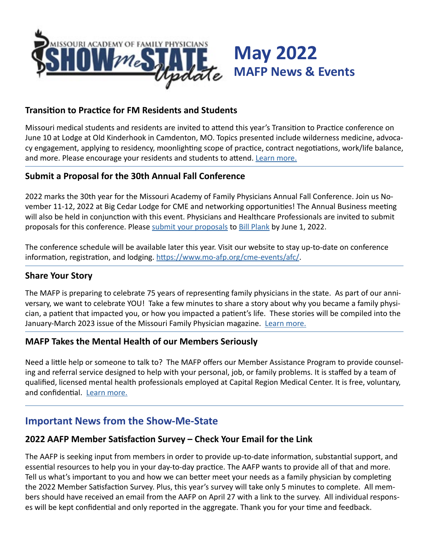

#### **Transition to Practice for FM Residents and Students**

Missouri medical students and residents are invited to attend this year's Transition to Practice conference on June 10 at Lodge at Old Kinderhook in Camdenton, MO. Topics presented include wilderness medicine, advocacy engagement, applying to residency, moonlighting scope of practice, contract negotiations, work/life balance, and more. Please encourage your residents and students to attend. [Learn more.](https://www.mo-afp.org/transition-to-practice/)

### **Submit a Proposal for the 30th Annual Fall Conference**

2022 marks the 30th year for the Missouri Academy of Family Physicians Annual Fall Conference. Join us November 11-12, 2022 at Big Cedar Lodge for CME and networking opportunities! The Annual Business meeting will also be held in conjunction with this event. Physicians and Healthcare Professionals are invited to submit proposals for this conference. Please [submit your proposals](https://www.mo-afp.org/cme-events/call-for-presentations/) to [Bill Plank](mailto:bplank%40mo-afp.org?subject=) by June 1, 2022.

The conference schedule will be available later this year. Visit our website to stay up-to-date on conference information, registration, and lodging.<https://www.mo-afp.org/cme-events/afc/>.

#### **Share Your Story**

The MAFP is preparing to celebrate 75 years of representing family physicians in the state. As part of our anniversary, we want to celebrate YOU! Take a few minutes to share a story about why you became a family physician, a patient that impacted you, or how you impacted a patient's life. These stories will be compiled into the January-March 2023 issue of the Missouri Family Physician magazine. [Learn more.](https://moafp.formstack.com/forms/mafpstories)

#### **MAFP Takes the Mental Health of our Members Seriously**

Need a little help or someone to talk to? The MAFP offers our Member Assistance Program to provide counseling and referral service designed to help with your personal, job, or family problems. It is staffed by a team of qualified, licensed mental health professionals employed at Capital Region Medical Center. It is free, voluntary, and confidential. [Learn more.](https://www.mo-afp.org/resources/assistance/)

# **Important News from the Show-Me-State**

#### **2022 AAFP Member Satisfaction Survey – Check Your Email for the Link**

The AAFP is seeking input from members in order to provide up-to-date information, substantial support, and essential resources to help you in your day-to-day practice. The AAFP wants to provide all of that and more. Tell us what's important to you and how we can better meet your needs as a family physician by completing the 2022 Member Satisfaction Survey. Plus, this year's survey will take only 5 minutes to complete. All members should have received an email from the AAFP on April 27 with a link to the survey. All individual responses will be kept confidential and only reported in the aggregate. Thank you for your time and feedback.